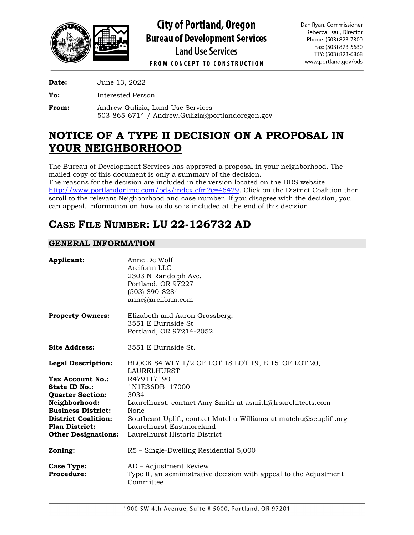

**City of Portland, Oregon Bureau of Development Services Land Use Services** 

Dan Ryan, Commissioner Rebecca Esau, Director Phone: (503) 823-7300 Fax: (503) 823-5630 TTY: (503) 823-6868 www.portland.gov/bds

**FROM CONCEPT TO CONSTRUCTION** 

**Date:** June 13, 2022

**To:** Interested Person

**From:** Andrew Gulizia, Land Use Services 503-865-6714 / Andrew.Gulizia@portlandoregon.gov

# **NOTICE OF A TYPE II DECISION ON A PROPOSAL IN YOUR NEIGHBORHOOD**

The Bureau of Development Services has approved a proposal in your neighborhood. The mailed copy of this document is only a summary of the decision. The reasons for the decision are included in the version located on the BDS website [http://www.portlandonline.com/bds/index.cfm?c=46429.](http://www.portlandonline.com/bds/index.cfm?c=46429) Click on the District Coalition then

scroll to the relevant Neighborhood and case number. If you disagree with the decision, you can appeal. Information on how to do so is included at the end of this decision.

# **CASE FILE NUMBER: LU 22-126732 AD**

## **GENERAL INFORMATION**

| Applicant:                             | Anne De Wolf<br>Arciform LLC<br>2303 N Randolph Ave.<br>Portland, OR 97227<br>(503) 890-8284<br>anne@arciform.com |
|----------------------------------------|-------------------------------------------------------------------------------------------------------------------|
| <b>Property Owners:</b>                | Elizabeth and Aaron Grossberg,<br>3551 E Burnside St.<br>Portland, OR 97214-2052                                  |
| <b>Site Address:</b>                   | 3551 E Burnside St.                                                                                               |
| <b>Legal Description:</b>              | BLOCK 84 WLY 1/2 OF LOT 18 LOT 19, E 15' OF LOT 20,<br><b>LAURELHURST</b>                                         |
| Tax Account No.:                       | R479117190                                                                                                        |
| State ID No.:                          | 1N1E36DB 17000                                                                                                    |
| <b>Quarter Section:</b>                | 3034                                                                                                              |
| Neighborhood:                          | Laurelhurst, contact Amy Smith at asmith@Irsarchitects.com                                                        |
| <b>Business District:</b>              | None                                                                                                              |
| <b>District Coalition:</b>             | Southeast Uplift, contact Matchu Williams at matchu@seuplift.org                                                  |
| <b>Plan District:</b>                  | Laurelhurst-Eastmoreland                                                                                          |
| <b>Other Designations:</b>             | Laurelhurst Historic District                                                                                     |
| Zoning:                                | R5 – Single-Dwelling Residential 5,000                                                                            |
| <b>Case Type:</b><br><b>Procedure:</b> | AD – Adjustment Review<br>Type II, an administrative decision with appeal to the Adjustment<br>Committee          |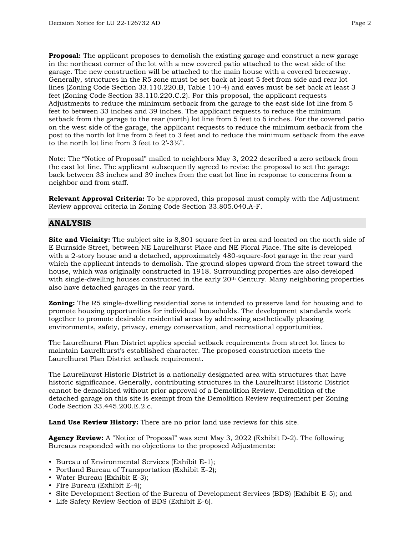**Proposal:** The applicant proposes to demolish the existing garage and construct a new garage in the northeast corner of the lot with a new covered patio attached to the west side of the garage. The new construction will be attached to the main house with a covered breezeway. Generally, structures in the R5 zone must be set back at least 5 feet from side and rear lot lines (Zoning Code Section 33.110.220.B, Table 110-4) and eaves must be set back at least 3 feet (Zoning Code Section 33.110.220.C.2). For this proposal, the applicant requests Adjustments to reduce the minimum setback from the garage to the east side lot line from 5 feet to between 33 inches and 39 inches. The applicant requests to reduce the minimum setback from the garage to the rear (north) lot line from 5 feet to 6 inches. For the covered patio on the west side of the garage, the applicant requests to reduce the minimum setback from the post to the north lot line from 5 feet to 3 feet and to reduce the minimum setback from the eave to the north lot line from 3 feet to 2'-3½".

Note: The "Notice of Proposal" mailed to neighbors May 3, 2022 described a zero setback from the east lot line. The applicant subsequently agreed to revise the proposal to set the garage back between 33 inches and 39 inches from the east lot line in response to concerns from a neighbor and from staff.

**Relevant Approval Criteria:** To be approved, this proposal must comply with the Adjustment Review approval criteria in Zoning Code Section 33.805.040.A-F.

## **ANALYSIS**

**Site and Vicinity:** The subject site is 8,801 square feet in area and located on the north side of E Burnside Street, between NE Laurelhurst Place and NE Floral Place. The site is developed with a 2-story house and a detached, approximately 480-square-foot garage in the rear yard which the applicant intends to demolish. The ground slopes upward from the street toward the house, which was originally constructed in 1918. Surrounding properties are also developed with single-dwelling houses constructed in the early  $20<sup>th</sup>$  Century. Many neighboring properties also have detached garages in the rear yard.

**Zoning:** The R5 single-dwelling residential zone is intended to preserve land for housing and to promote housing opportunities for individual households. The development standards work together to promote desirable residential areas by addressing aesthetically pleasing environments, safety, privacy, energy conservation, and recreational opportunities.

The Laurelhurst Plan District applies special setback requirements from street lot lines to maintain Laurelhurst's established character. The proposed construction meets the Laurelhurst Plan District setback requirement.

The Laurelhurst Historic District is a nationally designated area with structures that have historic significance. Generally, contributing structures in the Laurelhurst Historic District cannot be demolished without prior approval of a Demolition Review. Demolition of the detached garage on this site is exempt from the Demolition Review requirement per Zoning Code Section 33.445.200.E.2.c.

**Land Use Review History:** There are no prior land use reviews for this site.

**Agency Review:** A "Notice of Proposal" was sent May 3, 2022 (Exhibit D-2). The following Bureaus responded with no objections to the proposed Adjustments:

- Bureau of Environmental Services (Exhibit E-1);
- Portland Bureau of Transportation (Exhibit E-2);
- Water Bureau (Exhibit E-3);
- Fire Bureau (Exhibit E-4);
- Site Development Section of the Bureau of Development Services (BDS) (Exhibit E-5); and
- Life Safety Review Section of BDS (Exhibit E-6).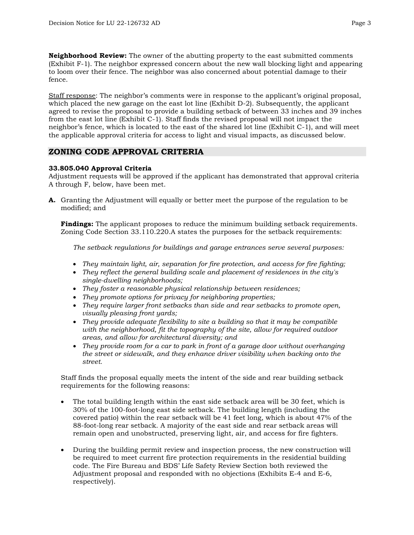**Neighborhood Review:** The owner of the abutting property to the east submitted comments (Exhibit F-1). The neighbor expressed concern about the new wall blocking light and appearing to loom over their fence. The neighbor was also concerned about potential damage to their fence.

Staff response: The neighbor's comments were in response to the applicant's original proposal, which placed the new garage on the east lot line (Exhibit D-2). Subsequently, the applicant agreed to revise the proposal to provide a building setback of between 33 inches and 39 inches from the east lot line (Exhibit C-1). Staff finds the revised proposal will not impact the neighbor's fence, which is located to the east of the shared lot line (Exhibit C-1), and will meet the applicable approval criteria for access to light and visual impacts, as discussed below.

## **ZONING CODE APPROVAL CRITERIA**

#### **33.805.040 Approval Criteria**

Adjustment requests will be approved if the applicant has demonstrated that approval criteria A through F, below, have been met.

**A.** Granting the Adjustment will equally or better meet the purpose of the regulation to be modified; and

**Findings:** The applicant proposes to reduce the minimum building setback requirements. Zoning Code Section 33.110.220.A states the purposes for the setback requirements:

*The setback regulations for buildings and garage entrances serve several purposes:*

- *They maintain light, air, separation for fire protection, and access for fire fighting;*
- *They reflect the general building scale and placement of residences in the city's single-dwelling neighborhoods;*
- *They foster a reasonable physical relationship between residences;*
- *They promote options for privacy for neighboring properties;*
- *They require larger front setbacks than side and rear setbacks to promote open, visually pleasing front yards;*
- *They provide adequate flexibility to site a building so that it may be compatible with the neighborhood, fit the topography of the site, allow for required outdoor areas, and allow for architectural diversity; and*
- *They provide room for a car to park in front of a garage door without overhanging the street or sidewalk, and they enhance driver visibility when backing onto the street.*

Staff finds the proposal equally meets the intent of the side and rear building setback requirements for the following reasons:

- The total building length within the east side setback area will be 30 feet, which is 30% of the 100-foot-long east side setback. The building length (including the covered patio) within the rear setback will be 41 feet long, which is about 47% of the 88-foot-long rear setback. A majority of the east side and rear setback areas will remain open and unobstructed, preserving light, air, and access for fire fighters.
- During the building permit review and inspection process, the new construction will be required to meet current fire protection requirements in the residential building code. The Fire Bureau and BDS' Life Safety Review Section both reviewed the Adjustment proposal and responded with no objections (Exhibits E-4 and E-6, respectively).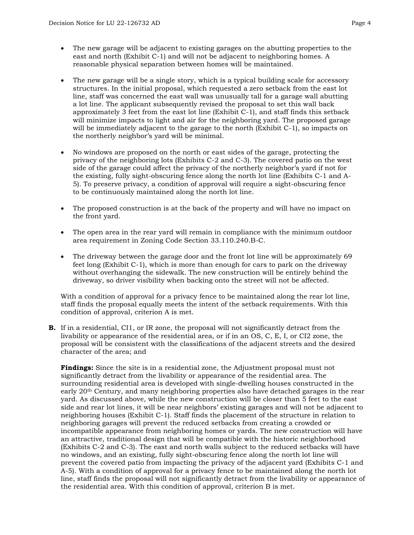- The new garage will be adjacent to existing garages on the abutting properties to the east and north (Exhibit C-1) and will not be adjacent to neighboring homes. A reasonable physical separation between homes will be maintained.
- The new garage will be a single story, which is a typical building scale for accessory structures. In the initial proposal, which requested a zero setback from the east lot line, staff was concerned the east wall was unusually tall for a garage wall abutting a lot line. The applicant subsequently revised the proposal to set this wall back approximately 3 feet from the east lot line (Exhibit C-1), and staff finds this setback will minimize impacts to light and air for the neighboring yard. The proposed garage will be immediately adjacent to the garage to the north (Exhibit C-1), so impacts on the northerly neighbor's yard will be minimal.
- No windows are proposed on the north or east sides of the garage, protecting the privacy of the neighboring lots (Exhibits C-2 and C-3). The covered patio on the west side of the garage could affect the privacy of the northerly neighbor's yard if not for the existing, fully sight-obscuring fence along the north lot line (Exhibits C-1 and A-5). To preserve privacy, a condition of approval will require a sight-obscuring fence to be continuously maintained along the north lot line.
- The proposed construction is at the back of the property and will have no impact on the front yard.
- The open area in the rear yard will remain in compliance with the minimum outdoor area requirement in Zoning Code Section 33.110.240.B-C.
- The driveway between the garage door and the front lot line will be approximately 69 feet long (Exhibit C-1), which is more than enough for cars to park on the driveway without overhanging the sidewalk. The new construction will be entirely behind the driveway, so driver visibility when backing onto the street will not be affected.

With a condition of approval for a privacy fence to be maintained along the rear lot line, staff finds the proposal equally meets the intent of the setback requirements. With this condition of approval, criterion A is met.

**B.** If in a residential, CI1, or IR zone, the proposal will not significantly detract from the livability or appearance of the residential area, or if in an OS, C, E, I, or CI2 zone, the proposal will be consistent with the classifications of the adjacent streets and the desired character of the area; and

**Findings:** Since the site is in a residential zone, the Adjustment proposal must not significantly detract from the livability or appearance of the residential area. The surrounding residential area is developed with single-dwelling houses constructed in the early 20<sup>th</sup> Century, and many neighboring properties also have detached garages in the rear yard. As discussed above, while the new construction will be closer than 5 feet to the east side and rear lot lines, it will be near neighbors' existing garages and will not be adjacent to neighboring houses (Exhibit C-1). Staff finds the placement of the structure in relation to neighboring garages will prevent the reduced setbacks from creating a crowded or incompatible appearance from neighboring homes or yards. The new construction will have an attractive, traditional design that will be compatible with the historic neighborhood (Exhibits C-2 and C-3). The east and north walls subject to the reduced setbacks will have no windows, and an existing, fully sight-obscuring fence along the north lot line will prevent the covered patio from impacting the privacy of the adjacent yard (Exhibits C-1 and A-5). With a condition of approval for a privacy fence to be maintained along the north lot line, staff finds the proposal will not significantly detract from the livability or appearance of the residential area. With this condition of approval, criterion B is met.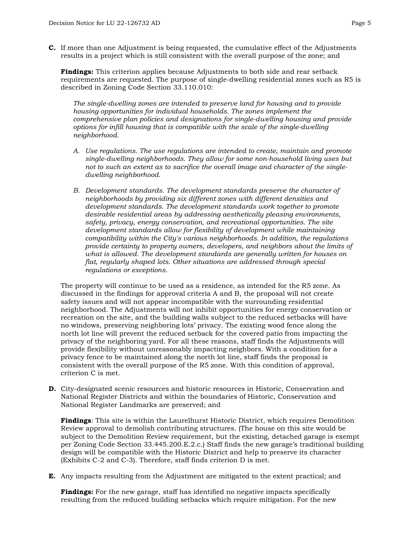**C.** If more than one Adjustment is being requested, the cumulative effect of the Adjustments results in a project which is still consistent with the overall purpose of the zone; and

**Findings:** This criterion applies because Adjustments to both side and rear setback requirements are requested. The purpose of single-dwelling residential zones such as R5 is described in Zoning Code Section 33.110.010:

*The single-dwelling zones are intended to preserve land for housing and to provide housing opportunities for individual households. The zones implement the comprehensive plan policies and designations for single-dwelling housing and provide options for infill housing that is compatible with the scale of the single-dwelling neighborhood.*

- *A. Use regulations. The use regulations are intended to create, maintain and promote single-dwelling neighborhoods. They allow for some non-household living uses but not to such an extent as to sacrifice the overall image and character of the singledwelling neighborhood.*
- *B. Development standards. The development standards preserve the character of neighborhoods by providing six different zones with different densities and development standards. The development standards work together to promote desirable residential areas by addressing aesthetically pleasing environments, safety, privacy, energy conservation, and recreational opportunities. The site development standards allow for flexibility of development while maintaining compatibility within the City's various neighborhoods. In addition, the regulations provide certainty to property owners, developers, and neighbors about the limits of what is allowed. The development standards are generally written for houses on flat, regularly shaped lots. Other situations are addressed through special regulations or exceptions.*

The property will continue to be used as a residence, as intended for the R5 zone. As discussed in the findings for approval criteria A and B, the proposal will not create safety issues and will not appear incompatible with the surrounding residential neighborhood. The Adjustments will not inhibit opportunities for energy conservation or recreation on the site, and the building walls subject to the reduced setbacks will have no windows, preserving neighboring lots' privacy. The existing wood fence along the north lot line will prevent the reduced setback for the covered patio from impacting the privacy of the neighboring yard. For all these reasons, staff finds the Adjustments will provide flexibility without unreasonably impacting neighbors. With a condition for a privacy fence to be maintained along the north lot line, staff finds the proposal is consistent with the overall purpose of the R5 zone. With this condition of approval, criterion C is met.

**D.** City-designated scenic resources and historic resources in Historic, Conservation and National Register Districts and within the boundaries of Historic, Conservation and National Register Landmarks are preserved; and

**Findings**: This site is within the Laurelhurst Historic District, which requires Demolition Review approval to demolish contributing structures. (The house on this site would be subject to the Demolition Review requirement, but the existing, detached garage is exempt per Zoning Code Section 33.445.200.E.2.c.) Staff finds the new garage's traditional building design will be compatible with the Historic District and help to preserve its character (Exhibits C-2 and C-3). Therefore, staff finds criterion D is met.

**E.** Any impacts resulting from the Adjustment are mitigated to the extent practical; and

**Findings:** For the new garage, staff has identified no negative impacts specifically resulting from the reduced building setbacks which require mitigation. For the new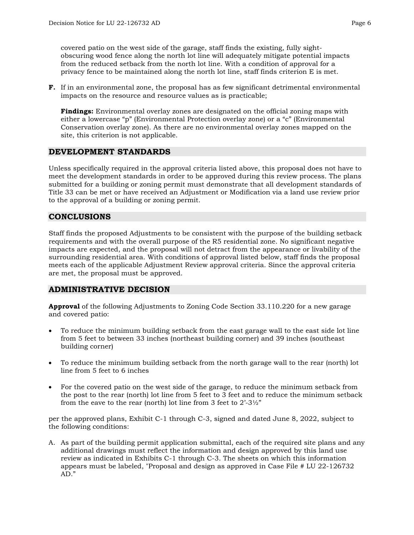covered patio on the west side of the garage, staff finds the existing, fully sightobscuring wood fence along the north lot line will adequately mitigate potential impacts from the reduced setback from the north lot line. With a condition of approval for a privacy fence to be maintained along the north lot line, staff finds criterion E is met.

**F.** If in an environmental zone, the proposal has as few significant detrimental environmental impacts on the resource and resource values as is practicable;

**Findings:** Environmental overlay zones are designated on the official zoning maps with either a lowercase "p" (Environmental Protection overlay zone) or a "c" (Environmental Conservation overlay zone). As there are no environmental overlay zones mapped on the site, this criterion is not applicable.

### **DEVELOPMENT STANDARDS**

Unless specifically required in the approval criteria listed above, this proposal does not have to meet the development standards in order to be approved during this review process. The plans submitted for a building or zoning permit must demonstrate that all development standards of Title 33 can be met or have received an Adjustment or Modification via a land use review prior to the approval of a building or zoning permit.

### **CONCLUSIONS**

Staff finds the proposed Adjustments to be consistent with the purpose of the building setback requirements and with the overall purpose of the R5 residential zone. No significant negative impacts are expected, and the proposal will not detract from the appearance or livability of the surrounding residential area. With conditions of approval listed below, staff finds the proposal meets each of the applicable Adjustment Review approval criteria. Since the approval criteria are met, the proposal must be approved.

## **ADMINISTRATIVE DECISION**

**Approval** of the following Adjustments to Zoning Code Section 33.110.220 for a new garage and covered patio:

- To reduce the minimum building setback from the east garage wall to the east side lot line from 5 feet to between 33 inches (northeast building corner) and 39 inches (southeast building corner)
- To reduce the minimum building setback from the north garage wall to the rear (north) lot line from 5 feet to 6 inches
- For the covered patio on the west side of the garage, to reduce the minimum setback from the post to the rear (north) lot line from 5 feet to 3 feet and to reduce the minimum setback from the eave to the rear (north) lot line from 3 feet to  $2^2-3\frac{1}{2}$ "

per the approved plans, Exhibit C-1 through C-3, signed and dated June 8, 2022, subject to the following conditions:

A. As part of the building permit application submittal, each of the required site plans and any additional drawings must reflect the information and design approved by this land use review as indicated in Exhibits C-1 through C-3. The sheets on which this information appears must be labeled, "Proposal and design as approved in Case File # LU 22-126732 AD."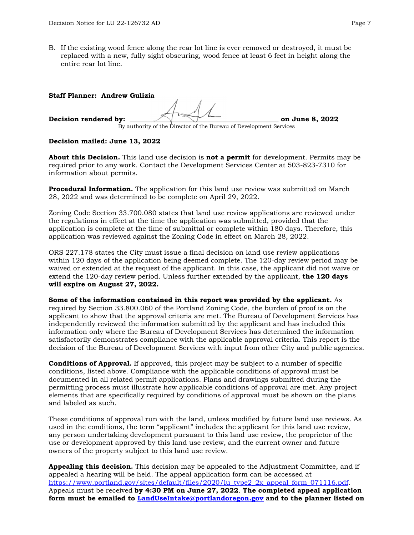B. If the existing wood fence along the rear lot line is ever removed or destroyed, it must be replaced with a new, fully sight obscuring, wood fence at least 6 feet in height along the entire rear lot line.

| <b>Staff Planner: Andrew Gulizia</b> |                                                                    |                 |
|--------------------------------------|--------------------------------------------------------------------|-----------------|
|                                      |                                                                    |                 |
|                                      |                                                                    |                 |
| Decision rendered by:                |                                                                    | on June 8, 2022 |
|                                      | By authority of the Director of the Bureau of Development Services |                 |

#### **Decision mailed: June 13, 2022**

**About this Decision.** This land use decision is **not a permit** for development. Permits may be required prior to any work. Contact the Development Services Center at 503-823-7310 for information about permits.

**Procedural Information.** The application for this land use review was submitted on March 28, 2022 and was determined to be complete on April 29, 2022.

Zoning Code Section 33.700.080 states that land use review applications are reviewed under the regulations in effect at the time the application was submitted, provided that the application is complete at the time of submittal or complete within 180 days. Therefore, this application was reviewed against the Zoning Code in effect on March 28, 2022.

ORS 227.178 states the City must issue a final decision on land use review applications within 120 days of the application being deemed complete. The 120-day review period may be waived or extended at the request of the applicant. In this case, the applicant did not waive or extend the 120-day review period. Unless further extended by the applicant, **the 120 days will expire on August 27, 2022.**

**Some of the information contained in this report was provided by the applicant.** As required by Section 33.800.060 of the Portland Zoning Code, the burden of proof is on the applicant to show that the approval criteria are met. The Bureau of Development Services has independently reviewed the information submitted by the applicant and has included this information only where the Bureau of Development Services has determined the information satisfactorily demonstrates compliance with the applicable approval criteria. This report is the decision of the Bureau of Development Services with input from other City and public agencies.

**Conditions of Approval.** If approved, this project may be subject to a number of specific conditions, listed above. Compliance with the applicable conditions of approval must be documented in all related permit applications. Plans and drawings submitted during the permitting process must illustrate how applicable conditions of approval are met. Any project elements that are specifically required by conditions of approval must be shown on the plans and labeled as such.

These conditions of approval run with the land, unless modified by future land use reviews. As used in the conditions, the term "applicant" includes the applicant for this land use review, any person undertaking development pursuant to this land use review, the proprietor of the use or development approved by this land use review, and the current owner and future owners of the property subject to this land use review.

**Appealing this decision.** This decision may be appealed to the Adjustment Committee, and if appealed a hearing will be held. The appeal application form can be accessed at [https://www.portland.gov/sites/default/files/2020/lu\\_type2\\_2x\\_appeal\\_form\\_071116.pdf.](https://www.portland.gov/sites/default/files/2020/lu_type2_2x_appeal_form_071116.pdf) Appeals must be received **by 4:30 PM on June 27, 2022**. **The completed appeal application form must be emailed to [LandUseIntake@portlandoregon.gov](mailto:LandUseIntake@portlandoregon.gov) and to the planner listed on**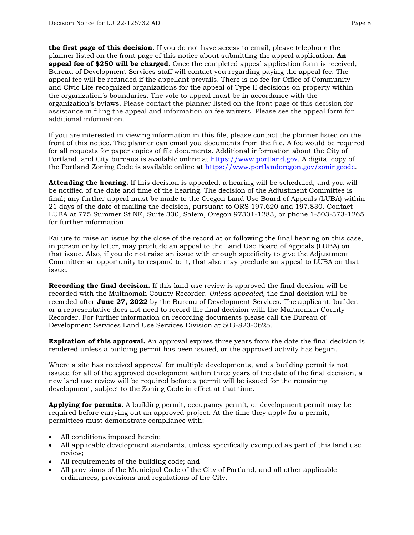**the first page of this decision.** If you do not have access to email, please telephone the planner listed on the front page of this notice about submitting the appeal application. **An appeal fee of \$250 will be charged**. Once the completed appeal application form is received, Bureau of Development Services staff will contact you regarding paying the appeal fee. The appeal fee will be refunded if the appellant prevails. There is no fee for Office of Community and Civic Life recognized organizations for the appeal of Type II decisions on property within the organization's boundaries. The vote to appeal must be in accordance with the organization's bylaws. Please contact the planner listed on the front page of this decision for assistance in filing the appeal and information on fee waivers. Please see the appeal form for additional information.

If you are interested in viewing information in this file, please contact the planner listed on the front of this notice. The planner can email you documents from the file. A fee would be required for all requests for paper copies of file documents. Additional information about the City of Portland, and City bureaus is available online at [https://www.portland.gov.](https://www.portland.gov/) A digital copy of the Portland Zoning Code is available online at [https://www.portlandoregon.gov/zoningcode.](https://www.portlandoregon.gov/zoningcode)

**Attending the hearing.** If this decision is appealed, a hearing will be scheduled, and you will be notified of the date and time of the hearing. The decision of the Adjustment Committee is final; any further appeal must be made to the Oregon Land Use Board of Appeals (LUBA) within 21 days of the date of mailing the decision, pursuant to ORS 197.620 and 197.830. Contact LUBA at 775 Summer St NE, Suite 330, Salem, Oregon 97301-1283, or phone 1-503-373-1265 for further information.

Failure to raise an issue by the close of the record at or following the final hearing on this case, in person or by letter, may preclude an appeal to the Land Use Board of Appeals (LUBA) on that issue. Also, if you do not raise an issue with enough specificity to give the Adjustment Committee an opportunity to respond to it, that also may preclude an appeal to LUBA on that issue.

**Recording the final decision.** If this land use review is approved the final decision will be recorded with the Multnomah County Recorder. *Unless appealed,* the final decision will be recorded after **June 27, 2022** by the Bureau of Development Services. The applicant, builder, or a representative does not need to record the final decision with the Multnomah County Recorder. For further information on recording documents please call the Bureau of Development Services Land Use Services Division at 503-823-0625.

**Expiration of this approval.** An approval expires three years from the date the final decision is rendered unless a building permit has been issued, or the approved activity has begun.

Where a site has received approval for multiple developments, and a building permit is not issued for all of the approved development within three years of the date of the final decision, a new land use review will be required before a permit will be issued for the remaining development, subject to the Zoning Code in effect at that time.

**Applying for permits.** A building permit, occupancy permit, or development permit may be required before carrying out an approved project. At the time they apply for a permit, permittees must demonstrate compliance with:

- All conditions imposed herein;
- All applicable development standards, unless specifically exempted as part of this land use review;
- All requirements of the building code; and
- All provisions of the Municipal Code of the City of Portland, and all other applicable ordinances, provisions and regulations of the City.